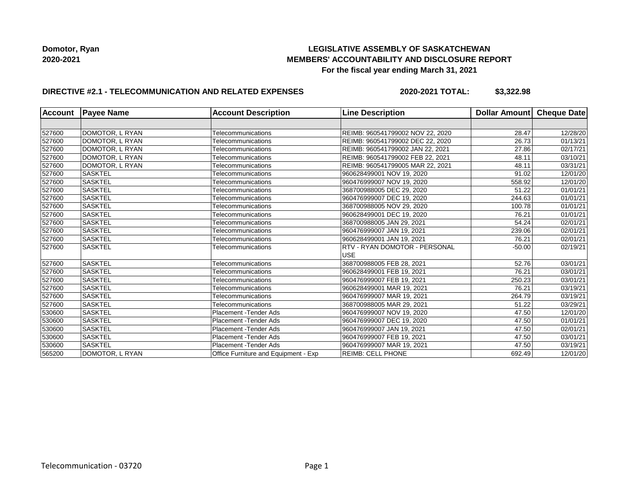# **LEGISLATIVE ASSEMBLY OF SASKATCHEWAN MEMBERS' ACCOUNTABILITY AND DISCLOSURE REPORT For the fiscal year ending March 31, 2021**

# **DIRECTIVE #2.1 - TELECOMMUNICATION AND RELATED EXPENSES**

**2020-2021 TOTAL: \$3,322.98**

| <b>Account</b> | <b>Payee Name</b> | <b>Account Description</b>           | <b>Line Description</b>              | Dollar Amount Cheque Date |          |
|----------------|-------------------|--------------------------------------|--------------------------------------|---------------------------|----------|
|                |                   |                                      |                                      |                           |          |
| 527600         | DOMOTOR, L RYAN   | Telecommunications                   | REIMB: 960541799002 NOV 22, 2020     | 28.47                     | 12/28/20 |
| 527600         | DOMOTOR, L RYAN   | Telecommunications                   | REIMB: 960541799002 DEC 22, 2020     | 26.73                     | 01/13/21 |
| 527600         | DOMOTOR, L RYAN   | Telecommunications                   | REIMB: 960541799002 JAN 22, 2021     | 27.86                     | 02/17/21 |
| 527600         | DOMOTOR, L RYAN   | Telecommunications                   | REIMB: 960541799002 FEB 22, 2021     | 48.11                     | 03/10/21 |
| 527600         | DOMOTOR, L RYAN   | Telecommunications                   | REIMB: 960541799005 MAR 22, 2021     | 48.11                     | 03/31/21 |
| 527600         | <b>SASKTEL</b>    | Telecommunications                   | 960628499001 NOV 19, 2020            | 91.02                     | 12/01/20 |
| 527600         | <b>SASKTEL</b>    | Telecommunications                   | 960476999007 NOV 19, 2020            | 558.92                    | 12/01/20 |
| 527600         | <b>SASKTEL</b>    | Telecommunications                   | 368700988005 DEC 29, 2020            | 51.22                     | 01/01/21 |
| 527600         | <b>SASKTEL</b>    | Telecommunications                   | 960476999007 DEC 19, 2020            | 244.63                    | 01/01/21 |
| 527600         | <b>SASKTEL</b>    | Telecommunications                   | 368700988005 NOV 29, 2020            | 100.78                    | 01/01/21 |
| 527600         | <b>SASKTEL</b>    | Telecommunications                   | 960628499001 DEC 19, 2020            | 76.21                     | 01/01/21 |
| 527600         | <b>SASKTEL</b>    | Telecommunications                   | 368700988005 JAN 29, 2021            | 54.24                     | 02/01/21 |
| 527600         | <b>SASKTEL</b>    | Telecommunications                   | 960476999007 JAN 19, 2021            | 239.06                    | 02/01/21 |
| 527600         | <b>SASKTEL</b>    | Telecommunications                   | 960628499001 JAN 19, 2021            | 76.21                     | 02/01/21 |
| 527600         | <b>SASKTEL</b>    | Telecommunications                   | <b>RTV - RYAN DOMOTOR - PERSONAL</b> | $-50.00$                  | 02/19/21 |
|                |                   |                                      | <b>USE</b>                           |                           |          |
| 527600         | SASKTEL           | Telecommunications                   | 368700988005 FEB 28, 2021            | 52.76                     | 03/01/21 |
| 527600         | <b>SASKTEL</b>    | Telecommunications                   | 960628499001 FEB 19, 2021            | 76.21                     | 03/01/21 |
| 527600         | <b>SASKTEL</b>    | Telecommunications                   | 960476999007 FEB 19, 2021            | 250.23                    | 03/01/21 |
| 527600         | <b>SASKTEL</b>    | Telecommunications                   | 960628499001 MAR 19, 2021            | 76.21                     | 03/19/21 |
| 527600         | <b>SASKTEL</b>    | Telecommunications                   | 960476999007 MAR 19, 2021            | 264.79                    | 03/19/21 |
| 527600         | <b>SASKTEL</b>    | Telecommunications                   | 368700988005 MAR 29, 2021            | 51.22                     | 03/29/21 |
| 530600         | <b>SASKTEL</b>    | Placement - Tender Ads               | 960476999007 NOV 19, 2020            | 47.50                     | 12/01/20 |
| 530600         | SASKTEL           | Placement - Tender Ads               | 960476999007 DEC 19, 2020            | 47.50                     | 01/01/21 |
| 530600         | <b>SASKTEL</b>    | <b>Placement - Tender Ads</b>        | 960476999007 JAN 19, 2021            | 47.50                     | 02/01/21 |
| 530600         | <b>SASKTEL</b>    | Placement - Tender Ads               | 960476999007 FEB 19, 2021            | 47.50                     | 03/01/21 |
| 530600         | <b>SASKTEL</b>    | Placement - Tender Ads               | 960476999007 MAR 19, 2021            | 47.50                     | 03/19/21 |
| 565200         | DOMOTOR, L RYAN   | Office Furniture and Equipment - Exp | <b>REIMB: CELL PHONE</b>             | 692.49                    | 12/01/20 |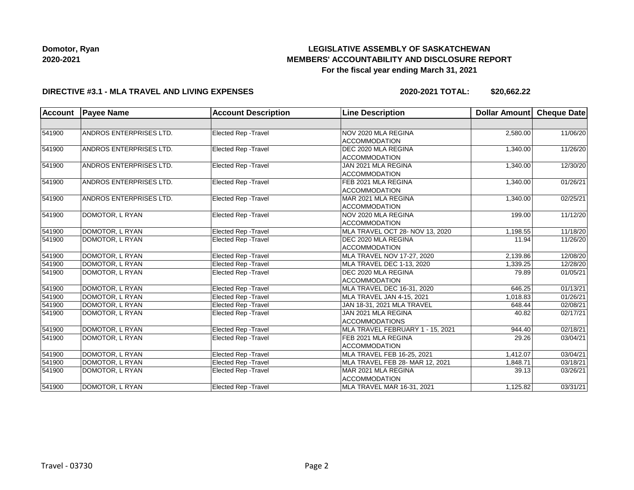# **LEGISLATIVE ASSEMBLY OF SASKATCHEWAN MEMBERS' ACCOUNTABILITY AND DISCLOSURE REPORT For the fiscal year ending March 31, 2021**

#### **DIRECTIVE #3.1 - MLA TRAVEL AND LIVING EXPENSES**

**2020-2021 TOTAL: \$20,662.22**

| <b>Account</b> | <b>Payee Name</b>              | <b>Account Description</b>  | <b>Line Description</b>                      | Dollar Amount | Cheque Date |
|----------------|--------------------------------|-----------------------------|----------------------------------------------|---------------|-------------|
|                |                                |                             |                                              |               |             |
| 541900         | <b>ANDROS ENTERPRISES LTD.</b> | Elected Rep - Travel        | NOV 2020 MLA REGINA<br><b>ACCOMMODATION</b>  | 2,580.00      | 11/06/20    |
| 541900         | ANDROS ENTERPRISES LTD.        | Elected Rep - Travel        | DEC 2020 MLA REGINA<br><b>ACCOMMODATION</b>  | 1,340.00      | 11/26/20    |
| 541900         | <b>ANDROS ENTERPRISES LTD.</b> | <b>Elected Rep - Travel</b> | JAN 2021 MLA REGINA<br><b>ACCOMMODATION</b>  | 1,340.00      | 12/30/20    |
| 541900         | ANDROS ENTERPRISES LTD.        | Elected Rep - Travel        | FEB 2021 MLA REGINA<br><b>ACCOMMODATION</b>  | 1,340.00      | 01/26/21    |
| 541900         | ANDROS ENTERPRISES LTD.        | Elected Rep - Travel        | MAR 2021 MLA REGINA<br><b>ACCOMMODATION</b>  | 1,340.00      | 02/25/21    |
| 541900         | DOMOTOR, L RYAN                | <b>Elected Rep - Travel</b> | NOV 2020 MLA REGINA<br>ACCOMMODATION         | 199.00        | 11/12/20    |
| 541900         | DOMOTOR, L RYAN                | <b>Elected Rep - Travel</b> | MLA TRAVEL OCT 28- NOV 13, 2020              | 1,198.55      | 11/18/20    |
| 541900         | DOMOTOR, L RYAN                | Elected Rep - Travel        | DEC 2020 MLA REGINA<br><b>ACCOMMODATION</b>  | 11.94         | 11/26/20    |
| 541900         | DOMOTOR, L RYAN                | Elected Rep - Travel        | MLA TRAVEL NOV 17-27, 2020                   | 2,139.86      | 12/08/20    |
| 541900         | DOMOTOR, L RYAN                | Elected Rep - Travel        | MLA TRAVEL DEC 1-13, 2020                    | 1,339.25      | 12/28/20    |
| 541900         | DOMOTOR, L RYAN                | <b>Elected Rep - Travel</b> | DEC 2020 MLA REGINA<br><b>ACCOMMODATION</b>  | 79.89         |             |
| 541900         | DOMOTOR, L RYAN                | Elected Rep - Travel        | MLA TRAVEL DEC 16-31, 2020                   | 646.25        | 01/13/21    |
| 541900         | DOMOTOR, L RYAN                | Elected Rep - Travel        | MLA TRAVEL JAN 4-15, 2021                    | 1,018.83      | 01/26/21    |
| 541900         | DOMOTOR, L RYAN                | Elected Rep - Travel        | JAN 18-31, 2021 MLA TRAVEL                   | 648.44        | 02/08/21    |
| 541900         | DOMOTOR, L RYAN                | Elected Rep - Travel        | JAN 2021 MLA REGINA<br><b>ACCOMMODATIONS</b> | 40.82         |             |
| 541900         | DOMOTOR, L RYAN                | Elected Rep - Travel        | MLA TRAVEL FEBRUARY 1 - 15, 2021             | 944.40        | 02/18/21    |
| 541900         | DOMOTOR, L RYAN                | Elected Rep - Travel        | FEB 2021 MLA REGINA<br><b>ACCOMMODATION</b>  | 29.26         |             |
| 541900         | DOMOTOR, L RYAN                | Elected Rep - Travel        | MLA TRAVEL FEB 16-25, 2021                   | 1,412.07      | 03/04/21    |
| 541900         | DOMOTOR, L RYAN                | Elected Rep - Travel        | MLA TRAVEL FEB 28- MAR 12, 2021              | 1,848.71      | 03/18/21    |
| 541900         | DOMOTOR, L RYAN                | Elected Rep - Travel        | MAR 2021 MLA REGINA<br><b>ACCOMMODATION</b>  | 39.13         | 03/26/21    |
| 541900         | DOMOTOR, L RYAN                | Elected Rep - Travel        | MLA TRAVEL MAR 16-31, 2021                   | 1,125.82      | 03/31/21    |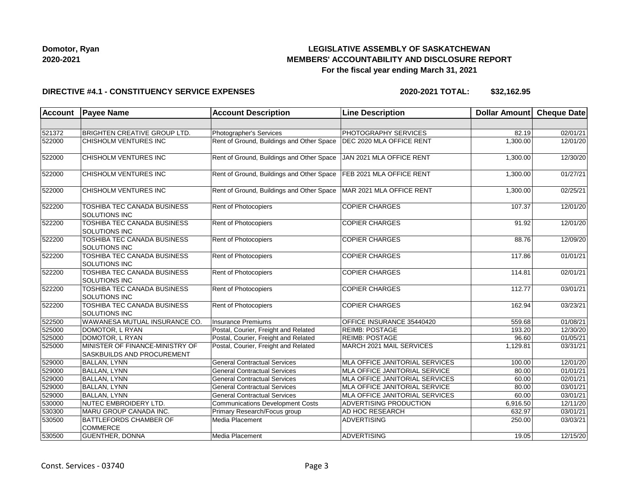

# **LEGISLATIVE ASSEMBLY OF SASKATCHEWAN MEMBERS' ACCOUNTABILITY AND DISCLOSURE REPORT For the fiscal year ending March 31, 2021**

#### **DIRECTIVE #4.1 - CONSTITUENCY SERVICE EXPENSES**

**2020-2021 TOTAL: \$32,162.95**

| <b>Account</b> | <b>Payee Name</b>                                             | <b>Account Description</b>                | <b>Line Description</b>               | Dollar Amount Cheque Date |          |
|----------------|---------------------------------------------------------------|-------------------------------------------|---------------------------------------|---------------------------|----------|
|                |                                                               |                                           |                                       |                           |          |
| 521372         | <b>BRIGHTEN CREATIVE GROUP LTD.</b>                           | Photographer's Services                   | PHOTOGRAPHY SERVICES                  | 82.19                     | 02/01/21 |
| 522000         | CHISHOLM VENTURES INC                                         | Rent of Ground, Buildings and Other Space | DEC 2020 MLA OFFICE RENT              | 1,300.00                  | 12/01/20 |
| 522000         | CHISHOLM VENTURES INC                                         | Rent of Ground, Buildings and Other Space | JAN 2021 MLA OFFICE RENT              | 1,300.00                  | 12/30/20 |
| 522000         | CHISHOLM VENTURES INC                                         | Rent of Ground, Buildings and Other Space | FEB 2021 MLA OFFICE RENT              | 1,300.00                  | 01/27/21 |
| 522000         | <b>CHISHOLM VENTURES INC</b>                                  | Rent of Ground, Buildings and Other Space | MAR 2021 MLA OFFICE RENT              | 1,300.00                  | 02/25/21 |
| 522200         | <b>TOSHIBA TEC CANADA BUSINESS</b><br>SOLUTIONS INC           | Rent of Photocopiers                      | <b>COPIER CHARGES</b>                 | 107.37                    | 12/01/20 |
| 522200         | <b>TOSHIBA TEC CANADA BUSINESS</b><br>SOLUTIONS INC           | Rent of Photocopiers                      | <b>COPIER CHARGES</b>                 | 91.92                     | 12/01/20 |
| 522200         | <b>TOSHIBA TEC CANADA BUSINESS</b><br><b>SOLUTIONS INC</b>    | Rent of Photocopiers                      | <b>COPIER CHARGES</b>                 | 88.76                     | 12/09/20 |
| 522200         | <b>TOSHIBA TEC CANADA BUSINESS</b><br>SOLUTIONS INC           | Rent of Photocopiers                      | <b>COPIER CHARGES</b>                 | 117.86                    | 01/01/21 |
| 522200         | TOSHIBA TEC CANADA BUSINESS<br>SOLUTIONS INC                  | Rent of Photocopiers                      | <b>COPIER CHARGES</b>                 | 114.81                    | 02/01/21 |
| 522200         | <b>TOSHIBA TEC CANADA BUSINESS</b><br>SOLUTIONS INC           | Rent of Photocopiers                      | <b>COPIER CHARGES</b>                 | 112.77                    | 03/01/21 |
| 522200         | TOSHIBA TEC CANADA BUSINESS<br><b>SOLUTIONS INC</b>           | Rent of Photocopiers                      | <b>COPIER CHARGES</b>                 | 162.94                    | 03/23/21 |
| 522500         | WAWANESA MUTUAL INSURANCE CO.                                 | <b>Insurance Premiums</b>                 | OFFICE INSURANCE 35440420             | 559.68                    | 01/08/21 |
| 525000         | DOMOTOR, L RYAN                                               | Postal, Courier, Freight and Related      | <b>REIMB: POSTAGE</b>                 | 193.20                    | 12/30/20 |
| 525000         | DOMOTOR, L RYAN                                               | Postal, Courier, Freight and Related      | <b>REIMB: POSTAGE</b>                 | 96.60                     | 01/05/21 |
| 525000         | MINISTER OF FINANCE-MINISTRY OF<br>SASKBUILDS AND PROCUREMENT | Postal, Courier, Freight and Related      | MARCH 2021 MAIL SERVICES              | 1,129.81                  | 03/31/21 |
| 529000         | <b>BALLAN, LYNN</b>                                           | <b>General Contractual Services</b>       | <b>MLA OFFICE JANITORIAL SERVICES</b> | 100.00                    | 12/01/20 |
| 529000         | <b>BALLAN, LYNN</b>                                           | <b>General Contractual Services</b>       | MLA OFFICE JANITORIAL SERVICE         | 80.00                     | 01/01/21 |
| 529000         | <b>BALLAN, LYNN</b>                                           | <b>General Contractual Services</b>       | MLA OFFICE JANITORIAL SERVICES        | 60.00                     | 02/01/21 |
| 529000         | <b>BALLAN, LYNN</b>                                           | <b>General Contractual Services</b>       | MLA OFFICE JANITORIAL SERVICE         | 80.00                     | 03/01/21 |
| 529000         | <b>BALLAN, LYNN</b>                                           | <b>General Contractual Services</b>       | MLA OFFICE JANITORIAL SERVICES        | 60.00                     | 03/01/21 |
| 530000         | NUTEC EMBROIDERY LTD.                                         | Communications Development Costs          | ADVERTISING PRODUCTION                | 6,916.50                  | 12/11/20 |
| 530300         | MARU GROUP CANADA INC.                                        | Primary Research/Focus group              | AD HOC RESEARCH                       | 632.97                    | 03/01/21 |
| 530500         | <b>BATTLEFORDS CHAMBER OF</b><br><b>COMMERCE</b>              | Media Placement                           | <b>ADVERTISING</b>                    | 250.00                    | 03/03/21 |
| 530500         | <b>GUENTHER, DONNA</b>                                        | Media Placement                           | <b>ADVERTISING</b>                    | 19.05                     | 12/15/20 |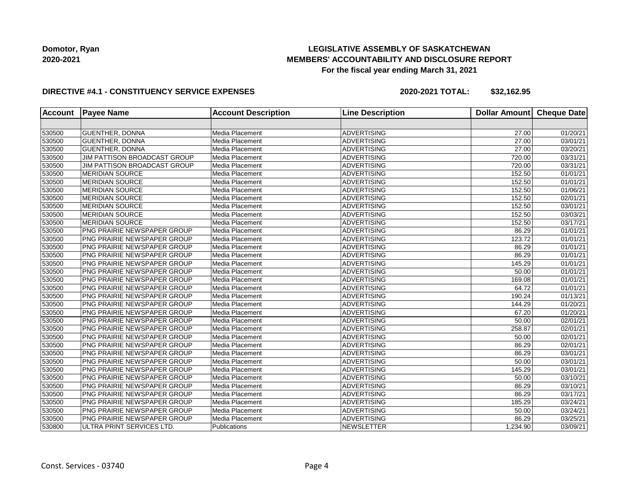# **LEGISLATIVE ASSEMBLY OF SASKATCHEWAN MEMBERS' ACCOUNTABILITY AND DISCLOSURE REPORT For the fiscal year ending March 31, 2021**

### **DIRECTIVE #4.1 - CONSTITUENCY SERVICE EXPENSES**

**2020-2021 TOTAL: \$32,162.95**

| <b>Account</b> | <b>Payee Name</b>                  | <b>Account Description</b> | <b>Line Description</b> | <b>Dollar Amount</b> | <b>Cheque Date</b>    |
|----------------|------------------------------------|----------------------------|-------------------------|----------------------|-----------------------|
|                |                                    |                            |                         |                      |                       |
| 530500         | <b>GUENTHER, DONNA</b>             | Media Placement            | <b>ADVERTISING</b>      | 27.00                | 01/20/21              |
| 530500         | <b>GUENTHER, DONNA</b>             | Media Placement            | <b>ADVERTISING</b>      | 27.00                | 03/01/21              |
| 530500         | <b>GUENTHER, DONNA</b>             | Media Placement            | <b>ADVERTISING</b>      | 27.00                | 03/20/21              |
| 530500         | JIM PATTISON BROADCAST GROUP       | Media Placement            | <b>ADVERTISING</b>      | 720.00               | 03/31/21              |
| 530500         | JIM PATTISON BROADCAST GROUP       | Media Placement            | <b>ADVERTISING</b>      | 720.00               | 03/31/21              |
| 530500         | <b>MERIDIAN SOURCE</b>             | Media Placement            | ADVERTISING             | 152.50               | 01/01/21              |
| 530500         | MERIDIAN SOURCE                    | Media Placement            | <b>ADVERTISING</b>      | 152.50               | 01/01/21              |
| 530500         | MERIDIAN SOURCE                    | Media Placement            | <b>ADVERTISING</b>      | 152.50               | 01/06/21              |
| 530500         | <b>MERIDIAN SOURCE</b>             | Media Placement            | <b>ADVERTISING</b>      | 152.50               | 02/01/21              |
| 530500         | <b>MERIDIAN SOURCE</b>             | Media Placement            | <b>ADVERTISING</b>      | 152.50               | 03/01/21              |
| 530500         | <b>MERIDIAN SOURCE</b>             | Media Placement            | <b>ADVERTISING</b>      | 152.50               | 03/03/21              |
| 530500         | <b>MERIDIAN SOURCE</b>             | Media Placement            | <b>ADVERTISING</b>      | 152.50               | 03/17/21              |
| 530500         | <b>PNG PRAIRIE NEWSPAPER GROUP</b> | Media Placement            | <b>ADVERTISING</b>      | 86.29                | 01/01/21              |
| 530500         | PNG PRAIRIE NEWSPAPER GROUP        | Media Placement            | ADVERTISING             | 123.72               | 01/01/21              |
| 530500         | PNG PRAIRIE NEWSPAPER GROUP        | Media Placement            | <b>ADVERTISING</b>      | 86.29                | 01/01/21              |
| 530500         | <b>PNG PRAIRIE NEWSPAPER GROUP</b> | Media Placement            | <b>ADVERTISING</b>      | 86.29                | 01/01/21              |
| 530500         | PNG PRAIRIE NEWSPAPER GROUP        | Media Placement            | <b>ADVERTISING</b>      | 145.29               | 01/01/21              |
| 530500         | PNG PRAIRIE NEWSPAPER GROUP        | Media Placement            | <b>ADVERTISING</b>      | 50.00                | 01/01/21              |
| 530500         | PNG PRAIRIE NEWSPAPER GROUP        | Media Placement            | <b>ADVERTISING</b>      | 169.08               | 01/01/21              |
| 530500         | PNG PRAIRIE NEWSPAPER GROUP        | Media Placement            | <b>ADVERTISING</b>      | 64.72                | 01/01/21              |
| 530500         | PNG PRAIRIE NEWSPAPER GROUP        | Media Placement            | <b>ADVERTISING</b>      | 190.24               | 01/13/21              |
| 530500         | <b>PNG PRAIRIE NEWSPAPER GROUP</b> | Media Placement            | ADVERTISING             | 144.29               | 01/20/21              |
| 530500         | <b>PNG PRAIRIE NEWSPAPER GROUP</b> | Media Placement            | <b>ADVERTISING</b>      | 67.20                | 01/20/21              |
| 530500         | PNG PRAIRIE NEWSPAPER GROUP        | Media Placement            | <b>ADVERTISING</b>      | 50.00                | $\overline{02/0}1/21$ |
| 530500         | PNG PRAIRIE NEWSPAPER GROUP        | Media Placement            | <b>ADVERTISING</b>      | 258.87               | 02/01/21              |
| 530500         | PNG PRAIRIE NEWSPAPER GROUP        | Media Placement            | <b>ADVERTISING</b>      | 50.00                | 02/01/21              |
| 530500         | <b>PNG PRAIRIE NEWSPAPER GROUP</b> | Media Placement            | <b>ADVERTISING</b>      | 86.29                | 02/01/21              |
| 530500         | PNG PRAIRIE NEWSPAPER GROUP        | Media Placement            | <b>ADVERTISING</b>      | 86.29                | 03/01/21              |
| 530500         | PNG PRAIRIE NEWSPAPER GROUP        | Media Placement            | <b>ADVERTISING</b>      | 50.00                | 03/01/21              |
| 530500         | PNG PRAIRIE NEWSPAPER GROUP        | Media Placement            | <b>ADVERTISING</b>      | 145.29               | 03/01/21              |
| 530500         | <b>PNG PRAIRIE NEWSPAPER GROUP</b> | Media Placement            | <b>ADVERTISING</b>      | 50.00                | 03/10/21              |
| 530500         | PNG PRAIRIE NEWSPAPER GROUP        | Media Placement            | <b>ADVERTISING</b>      | 86.29                | 03/10/21              |
| 530500         | PNG PRAIRIE NEWSPAPER GROUP        | Media Placement            | <b>ADVERTISING</b>      | 86.29                | 03/17/21              |
| 530500         | PNG PRAIRIE NEWSPAPER GROUP        | Media Placement            | <b>ADVERTISING</b>      | 185.29               | 03/24/21              |
| 530500         | PNG PRAIRIE NEWSPAPER GROUP        | Media Placement            | <b>ADVERTISING</b>      | 50.00                | 03/24/21              |
| 530500         | PNG PRAIRIE NEWSPAPER GROUP        | Media Placement            | <b>ADVERTISING</b>      | 86.29                | 03/25/21              |
| 530800         | ULTRA PRINT SERVICES LTD.          | Publications               | <b>NEWSLETTER</b>       | 1,234.90             | 03/09/21              |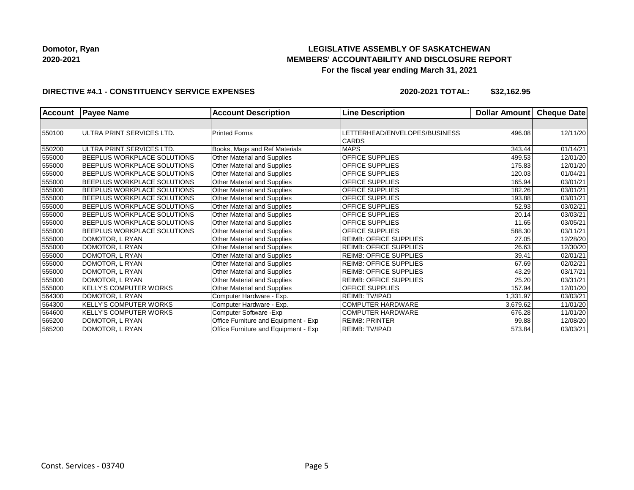# **LEGISLATIVE ASSEMBLY OF SASKATCHEWAN MEMBERS' ACCOUNTABILITY AND DISCLOSURE REPORT For the fiscal year ending March 31, 2021**

### **DIRECTIVE #4.1 - CONSTITUENCY SERVICE EXPENSES**

**2020-2021 TOTAL: \$32,162.95**

| <b>Account</b> | <b>Payee Name</b>                  | <b>Account Description</b>           | <b>Line Description</b>                       | Dollar Amount | Cheque Date |
|----------------|------------------------------------|--------------------------------------|-----------------------------------------------|---------------|-------------|
|                |                                    |                                      |                                               |               |             |
| 550100         | ULTRA PRINT SERVICES LTD.          | <b>Printed Forms</b>                 | LETTERHEAD/ENVELOPES/BUSINESS<br><b>CARDS</b> | 496.08        | 12/11/20    |
| 550200         | ULTRA PRINT SERVICES LTD.          | Books, Mags and Ref Materials        | <b>MAPS</b>                                   | 343.44        | 01/14/21    |
| 555000         | <b>BEEPLUS WORKPLACE SOLUTIONS</b> | Other Material and Supplies          | OFFICE SUPPLIES                               | 499.53        | 12/01/20    |
| 555000         | BEEPLUS WORKPLACE SOLUTIONS        | Other Material and Supplies          | OFFICE SUPPLIES                               | 175.83        | 12/01/20    |
| 555000         | BEEPLUS WORKPLACE SOLUTIONS        | Other Material and Supplies          | <b>OFFICE SUPPLIES</b>                        | 120.03        | 01/04/21    |
| 555000         | BEEPLUS WORKPLACE SOLUTIONS        | Other Material and Supplies          | OFFICE SUPPLIES                               | 165.94        | 03/01/21    |
| 555000         | <b>BEEPLUS WORKPLACE SOLUTIONS</b> | Other Material and Supplies          | <b>OFFICE SUPPLIES</b>                        | 182.26        | 03/01/21    |
| 555000         | BEEPLUS WORKPLACE SOLUTIONS        | Other Material and Supplies          | OFFICE SUPPLIES                               | 193.88        | 03/01/21    |
| 555000         | BEEPLUS WORKPLACE SOLUTIONS        | Other Material and Supplies          | <b>OFFICE SUPPLIES</b>                        | 52.93         | 03/02/21    |
| 555000         | BEEPLUS WORKPLACE SOLUTIONS        | Other Material and Supplies          | OFFICE SUPPLIES                               | 20.14         | 03/03/21    |
| 555000         | BEEPLUS WORKPLACE SOLUTIONS        | Other Material and Supplies          | OFFICE SUPPLIES                               | 11.65         | 03/05/21    |
| 555000         | <b>BEEPLUS WORKPLACE SOLUTIONS</b> | Other Material and Supplies          | OFFICE SUPPLIES                               | 588.30        | 03/11/21    |
| 555000         | DOMOTOR, L RYAN                    | Other Material and Supplies          | <b>REIMB: OFFICE SUPPLIES</b>                 | 27.05         | 12/28/20    |
| 555000         | DOMOTOR, L RYAN                    | Other Material and Supplies          | <b>REIMB: OFFICE SUPPLIES</b>                 | 26.63         | 12/30/20    |
| 555000         | DOMOTOR. L RYAN                    | Other Material and Supplies          | <b>REIMB: OFFICE SUPPLIES</b>                 | 39.41         | 02/01/21    |
| 555000         | DOMOTOR, L RYAN                    | Other Material and Supplies          | <b>REIMB: OFFICE SUPPLIES</b>                 | 67.69         | 02/02/21    |
| 555000         | DOMOTOR, L RYAN                    | Other Material and Supplies          | <b>REIMB: OFFICE SUPPLIES</b>                 | 43.29         | 03/17/21    |
| 555000         | DOMOTOR, L RYAN                    | Other Material and Supplies          | <b>REIMB: OFFICE SUPPLIES</b>                 | 25.20         | 03/31/21    |
| 555000         | <b>KELLY'S COMPUTER WORKS</b>      | Other Material and Supplies          | OFFICE SUPPLIES                               | 157.94        | 12/01/20    |
| 564300         | DOMOTOR, L RYAN                    | Computer Hardware - Exp.             | REIMB: TV/IPAD                                | 1,331.97      | 03/03/21    |
| 564300         | <b>KELLY'S COMPUTER WORKS</b>      | Computer Hardware - Exp.             | <b>COMPUTER HARDWARE</b>                      | 3,679.62      | 11/01/20    |
| 564600         | <b>KELLY'S COMPUTER WORKS</b>      | Computer Software - Exp              | <b>COMPUTER HARDWARE</b>                      | 676.28        | 11/01/20    |
| 565200         | DOMOTOR, L RYAN                    | Office Furniture and Equipment - Exp | <b>REIMB: PRINTER</b>                         | 99.88         | 12/08/20    |
| 565200         | DOMOTOR, L RYAN                    | Office Furniture and Equipment - Exp | REIMB: TV/IPAD                                | 573.84        | 03/03/21    |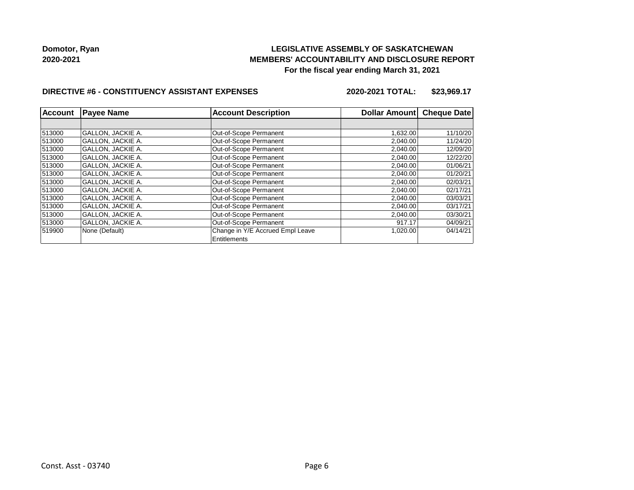# **LEGISLATIVE ASSEMBLY OF SASKATCHEWAN MEMBERS' ACCOUNTABILITY AND DISCLOSURE REPORT For the fiscal year ending March 31, 2021**

### **DIRECTIVE #6 - CONSTITUENCY ASSISTANT EXPENSES**

**2020-2021 TOTAL: \$23,969.17**

| <b>Account</b> | <b>Payee Name</b>        | <b>Account Description</b>                              | Dollar Amount | <b>Cheque Date</b> |  |
|----------------|--------------------------|---------------------------------------------------------|---------------|--------------------|--|
|                |                          |                                                         |               |                    |  |
| 513000         | <b>GALLON, JACKIE A.</b> | Out-of-Scope Permanent                                  | 1,632.00      | 11/10/20           |  |
| 513000         | <b>GALLON, JACKIE A.</b> | Out-of-Scope Permanent                                  | 2,040.00      | 11/24/20           |  |
| 513000         | <b>GALLON. JACKIE A.</b> | Out-of-Scope Permanent                                  | 2,040.00      | 12/09/20           |  |
| 513000         | <b>GALLON, JACKIE A.</b> | Out-of-Scope Permanent                                  | 2,040.00      | 12/22/20           |  |
| 513000         | <b>GALLON, JACKIE A.</b> | Out-of-Scope Permanent                                  | 2,040.00      | 01/06/21           |  |
| 513000         | <b>GALLON, JACKIE A.</b> | Out-of-Scope Permanent                                  | 2,040.00      | 01/20/21           |  |
| 513000         | <b>GALLON. JACKIE A.</b> | Out-of-Scope Permanent                                  | 2,040.00      | 02/03/21           |  |
| 513000         | <b>GALLON, JACKIE A.</b> | Out-of-Scope Permanent                                  | 2,040.00      | 02/17/21           |  |
| 513000         | <b>GALLON, JACKIE A.</b> | Out-of-Scope Permanent                                  | 2,040.00      | 03/03/21           |  |
| 513000         | <b>GALLON, JACKIE A.</b> | Out-of-Scope Permanent                                  | 2,040.00      | 03/17/21           |  |
| 513000         | <b>GALLON, JACKIE A.</b> | Out-of-Scope Permanent                                  | 2,040.00      | 03/30/21           |  |
| 513000         | <b>GALLON, JACKIE A.</b> | Out-of-Scope Permanent                                  | 917.17        | 04/09/21           |  |
| 519900         | None (Default)           | Change in Y/E Accrued Empl Leave<br><b>Entitlements</b> | 1,020.00      | 04/14/21           |  |